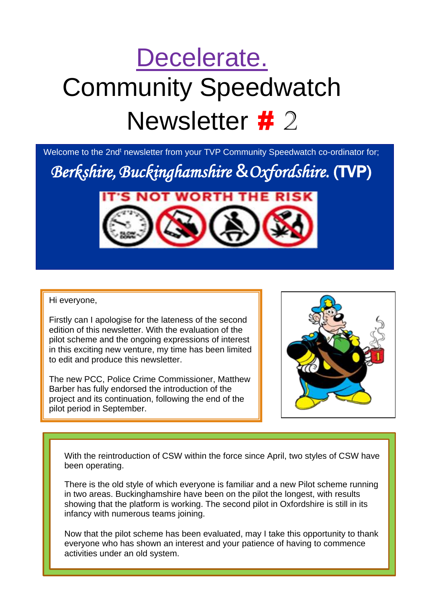# Decelerate. Community Speedwatch Newsletter # 2

Welcome to the 2nd<sup>t</sup> newsletter from your TVP Community Speedwatch co-ordinator for;

*Berkshire,Buckinghamshire* **&***Oxfordshire.* (TVP)



#### Hi everyone,

1)

Firstly can I apologise for the lateness of the second edition of this newsletter. With the evaluation of the pilot scheme and the ongoing expressions of interest in this exciting new venture, my time has been limited to edit and produce this newsletter.

The new PCC, Police Crime Commissioner, Matthew Barber has fully endorsed the introduction of the project and its continuation, following the end of the pilot period in September.



With the reintroduction of CSW within the force since April, two styles of CSW have been operating.

There is the old style of which everyone is familiar and a new Pilot scheme running in two areas. Buckinghamshire have been on the pilot the longest, with results showing that the platform is working. The second pilot in Oxfordshire is still in its infancy with numerous teams joining.

Now that the pilot scheme has been evaluated, may I take this opportunity to thank everyone who has shown an interest and your patience of having to commence activities under an old system.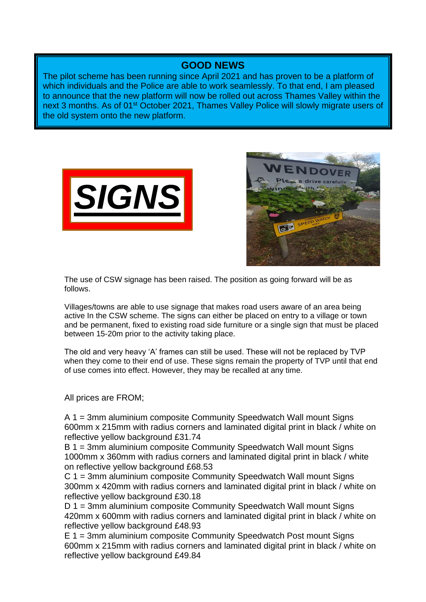### **GOOD NEWS**

The pilot scheme has been running since April 2021 and has proven to be a platform of which individuals and the Police are able to work seamlessly. To that end, I am pleased to announce that the new platform will now be rolled out across Thames Valley within the next 3 months. As of 01<sup>st</sup> October 2021, Thames Valley Police will slowly migrate users of the old system onto the new platform.





The use of CSW signage has been raised. The position as going forward will be as follows.

Villages/towns are able to use signage that makes road users aware of an area being active In the CSW scheme. The signs can either be placed on entry to a village or town and be permanent, fixed to existing road side furniture or a single sign that must be placed between 15-20m prior to the activity taking place.

The old and very heavy 'A' frames can still be used. These will not be replaced by TVP when they come to their end of use. These signs remain the property of TVP until that end of use comes into effect. However, they may be recalled at any time.

All prices are FROM;

A 1 = 3mm aluminium composite Community Speedwatch Wall mount Signs 600mm x 215mm with radius corners and laminated digital print in black / white on reflective yellow background £31.74

B 1 = 3mm aluminium composite Community Speedwatch Wall mount Signs 1000mm x 360mm with radius corners and laminated digital print in black / white on reflective yellow background £68.53

C 1 = 3mm aluminium composite Community Speedwatch Wall mount Signs 300mm x 420mm with radius corners and laminated digital print in black / white on reflective yellow background £30.18

D 1 = 3mm aluminium composite Community Speedwatch Wall mount Signs 420mm x 600mm with radius corners and laminated digital print in black / white on reflective yellow background £48.93

E 1 = 3mm aluminium composite Community Speedwatch Post mount Signs 600mm x 215mm with radius corners and laminated digital print in black / white on reflective yellow background £49.84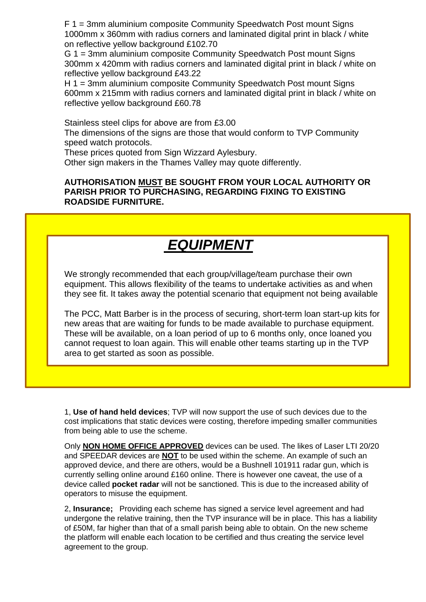F 1 = 3mm aluminium composite Community Speedwatch Post mount Signs 1000mm x 360mm with radius corners and laminated digital print in black / white on reflective yellow background £102.70

G 1 = 3mm aluminium composite Community Speedwatch Post mount Signs 300mm x 420mm with radius corners and laminated digital print in black / white on reflective yellow background £43.22

H 1 = 3mm aluminium composite Community Speedwatch Post mount Signs 600mm x 215mm with radius corners and laminated digital print in black / white on reflective yellow background £60.78

Stainless steel clips for above are from £3.00

The dimensions of the signs are those that would conform to TVP Community speed watch protocols.

These prices quoted from Sign Wizzard Aylesbury.

Other sign makers in the Thames Valley may quote differently.

#### **AUTHORISATION MUST BE SOUGHT FROM YOUR LOCAL AUTHORITY OR PARISH PRIOR TO PURCHASING, REGARDING FIXING TO EXISTING ROADSIDE FURNITURE.**

### *EQUIPMENT*

We strongly recommended that each group/village/team purchase their own equipment. This allows flexibility of the teams to undertake activities as and when they see fit. It takes away the potential scenario that equipment not being available

The PCC, Matt Barber is in the process of securing, short-term loan start-up kits for new areas that are waiting for funds to be made available to purchase equipment. These will be available, on a loan period of up to 6 months only, once loaned you cannot request to loan again. This will enable other teams starting up in the TVP area to get started as soon as possible.

1, **Use of hand held devices**; TVP will now support the use of such devices due to the cost implications that static devices were costing, therefore impeding smaller communities from being able to use the scheme.

Only **NON HOME OFFICE APPROVED** devices can be used. The likes of Laser LTI 20/20 and SPEEDAR devices are **NOT** to be used within the scheme. An example of such an approved device, and there are others, would be a Bushnell 101911 radar gun, which is currently selling online around £160 online. There is however one caveat, the use of a device called **pocket radar** will not be sanctioned. This is due to the increased ability of operators to misuse the equipment.

2, **Insurance;** Providing each scheme has signed a service level agreement and had undergone the relative training, then the TVP insurance will be in place. This has a liability of £50M, far higher than that of a small parish being able to obtain. On the new scheme the platform will enable each location to be certified and thus creating the service level agreement to the group.